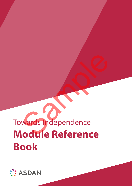### Towards Independence **Module Reference Book** Wards Independence

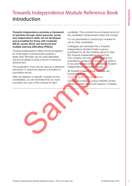### Towards Independence Module Reference Book Introduction

Towards Independence provides a framework of activities through which personal, social and independence skills can be developed and accredited for those with moderate (MLD), severe (SLD), and profound and multiple learning difficulties (PMLD).

Towards Independence offers formal recognition for small steps of achievement towards a larger goal. Modules can be used separately and accumulated to build a record of personal achievement.

This publication must only be used as a reference document. It cannot be used as a formative or summative record.

After the selection of specific modules for the candidate(s), you are reminded that you must purchase one copy of the module for each

candidate. This provides the summative record of the candidate's achievements within the module.

It is not permissible to photocopy modules for use by other candidates.

Colleagues are reminded that a Towards Independence Student Folder must be purchased for all new students about to start the Towards Independence programme. This contains one copy of the Starting Out (mandatory) introductory module. The folder is to be used to store all the candidate's Towards Independence summative records. Isteps of achievement towards a<br>
busines can be used separately<br>
the Towards independence programme.<br>
Imaging to the Cardinal of the Cardinal Content of the Cardinal<br>
Imaging to the used to side all the candidate's To-<br>
In

All Towards Independence materials can be purchased at: members.asdan.org.uk/catalogue

Centres are invited to contact ASDAN Central Office for further advice and support, if needed.

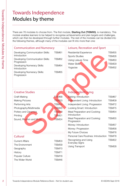### Towards Independence Modules by theme

There are 76 modules to choose from. The first module, Starting Out (TISM00), is mandatory. This module enables learners to be helped to recognise achievements and plan targets and challenges, which can then be developed through further modules. The rest of the modules can be divided into the following themes, although many of the modules can fit into more than one:

### Towards Independence Modules – Not for student users are also the student users of the student users of the student users of the student users of the student users of the student users of the student users of the student Communication and Numeracy Developing Communication Skills: Introduction TISM61 Developing Communication Skills: Progression TISM62 Developing Numeracy Skills: Introduction TISM64 Developing Numeracy Skills: **Progression** TISM65 Independent Living Baking: Introduction TISM67 Independent Living: Introduction TISM09 Independent Living: Progression TISM72 Looking Smart: Introduction TISM75 Meal Preparation and Cooking: Introduction TISM54 Meal Preparation and Cooking: Progression TISM55 Money: Introduction TISM57 Money: Progression TISM58 My Future Choices TISM76 Personal Care Routines: Introduction TISM78 Recognising and Using Everyday Signs TISM22 Using Transport TISM28 Creative Studies Craft Making TISM68 Making Pictures TISM33 Performing Arts TISM14 Photography/Multimedia TISM45 Pottery and Ceramics TISM19 Printing TISM21 Sound, Rhythm and Music TISM24 **Cultural** Current Affairs **TISM03** The Environment TISM39 Geography TISM70 History TISM71 Popular Culture TISM18 The Wider World TISM46 Leisure, Recreation and Sport Residential Experience TISM35 Sports Studies TISM26 Using Leisure Time Water Skills **TISM29** Yogacise TISM32 Principal Communication Skills: TISM62<br>
Sports Studies<br>
Signal Communication Skills: TISM64<br>
Sports Studies<br>
Principal Numeracy Skills: TISM64<br>
Mater Skills<br>
TISM64<br>
Vogacise<br>
Principal Numeracy Skills: TISM65<br>
Sports Stud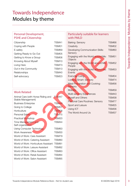### Towards Independence Modules by theme

### Personal Development, PSHE and Citizenship

| Citizenship             | TISM41             |
|-------------------------|--------------------|
| Coping with People      | TISM01             |
| E-safety                | TISM69             |
| Getting Ready to Go Out | TISM05             |
| Getting to Know a Group | TISM06             |
| Knowing About Myself    | TISM <sub>10</sub> |
| Living Here             | TISM73             |
| Out in the Community    | TISM <sub>13</sub> |
| Relationships           | TISM40             |
| Self-advocacy           | TISM23             |
|                         |                    |

### Work Related

| Animal Care (with Horse Riding and    | <b>TISM47</b>      |  |
|---------------------------------------|--------------------|--|
| Stable Management)                    |                    |  |
| <b>Business Enterprise</b>            | <b>TISM49</b>      |  |
| Going to College                      | <b>TISM07</b>      |  |
| Horticulture                          | <b>TISM08</b>      |  |
| Personal Safety                       | TISM <sub>15</sub> |  |
| Practical Workshop                    | <b>TISM20</b>      |  |
| Time Management and                   | TISM44             |  |
| Self-organisation                     |                    |  |
| Using Computer Technology             | TISM63             |  |
| <b>Work Awareness</b>                 | TISM30             |  |
| World of Work: Care Assistant         | TISM79             |  |
| World of Work: Catering Assistant     | TISM80             |  |
| World of Work: Horticulture Assistant | TISM81             |  |
| World of Work: Leisure Assistant      | TISM82             |  |
| World of Work: Office Assistant       | TISM83             |  |
| World of Work: Retail Assistant       | TISM84             |  |
| World of Work: Salon Assistant        | TISM85             |  |
|                                       |                    |  |

### Particularly suitable for learners with PMLD

| Modules by theme<br>Personal Development,<br><b>PSHE and Citizenship</b><br>Citizenship<br>Coping with People<br>E-safety<br>Getting Ready to Go Out<br>Getting to Know a Group<br>Knowing About Myself<br>Living Here<br>Out in the Community<br>Relationships<br>Self-advocacy<br><b>Work Related</b><br>Animal Care (with Horse Riding and<br>Stable Management)                                                                                                  | <b>TISM41</b><br>TISM01<br>TISM69<br>TISM05<br>TISM06<br>TISM10<br>TISM73<br>TISM13<br>TISM40<br><b>TISM23</b><br><b>TISM47</b>                                                                   | Particularly suitable for learners<br>with PMLD<br>Baking: Sensory<br>Creativity<br>Developing Communication Skills:<br>Sensory<br>Engaging with the World around Me: TISM51<br>Objects<br>Engaging with the World around Me:<br>People<br>Engaging with the World around Me: TISM53<br>Events<br><b>Everyday Living</b><br>Looking Smart: Sensory<br><b>Meal Preparation and Cooking:</b><br>Sensory<br><b>Mobility</b><br>Multi-sensory Experiences<br><b>Myself and Others</b> | TISM66<br>TISM02<br>TISM60<br><b>TISM52</b><br>TISM04<br>TISM74<br><b>TISM56</b><br><b>TISM59</b><br>TISM43<br>TISM38 |
|----------------------------------------------------------------------------------------------------------------------------------------------------------------------------------------------------------------------------------------------------------------------------------------------------------------------------------------------------------------------------------------------------------------------------------------------------------------------|---------------------------------------------------------------------------------------------------------------------------------------------------------------------------------------------------|-----------------------------------------------------------------------------------------------------------------------------------------------------------------------------------------------------------------------------------------------------------------------------------------------------------------------------------------------------------------------------------------------------------------------------------------------------------------------------------|-----------------------------------------------------------------------------------------------------------------------|
| <b>Business Enterprise</b><br>Going to College<br>Horticulture<br>Personal Safety<br>Practical Workshop<br>Time Management and<br>Self-organisation<br>Using Computer Technology<br><b>Work Awareness</b><br>World of Work: Care Assistant<br>World of Work: Catering Assistant<br>World of Work: Horticulture Assistant<br>World of Work: Leisure Assistant<br>World of Work: Office Assistant<br>World of Work: Retail Assistant<br>World of Work: Salon Assistant | <b>TISM49</b><br><b>TISM07</b><br><b>TISM08</b><br>TISM <sub>15</sub><br><b>TISM20</b><br>TISM44<br>TISM63<br>TISM30<br>TISM79<br>TISM80<br>TISM81<br><b>TISM82</b><br>TISM83<br>TISM84<br>TISM85 | Personal Care Routines: Sensory<br>Sport and Leisure<br>Using ICT<br>The World Around Us                                                                                                                                                                                                                                                                                                                                                                                          | TISM77<br><b>TISM25</b><br>TISM36<br>TISM37                                                                           |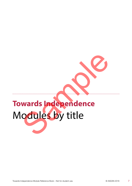### **Towards Independence** Modules by title Wards Independence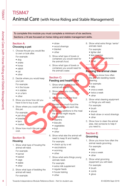# Towards Towards and the module Reference Module Reference Module Reference Book – Not for student use.  $\frac{1}{2}$  and the module student use.  $\frac{1}{2}$  and the module student use.  $\frac{1}{2}$  and the module Reference Module TISM47 Animal Care (with Horse Riding and Stable Management)

To complete this module you must complete a minimum of six sections. Sections J–N are focused on horse riding and stable management skills.

### Section A: Choosing a pet

1. Choose the pet you would like to own or look after.

For example:

- dog
- snake
- horse
- rabbit
- cat
- other
- 2. Decide where you would keep your pet.
	- For example:
	- in the house
	- in stables
	- on a farm
	- other
- 3. Show you know how old you have to be to buy a pet.
- 4. Show where you could obtain this pet.
	- For example:
	- pet shop
	- breeder
	- farm • market
- 5. Show how much this pet would cost.

### Section B:

### **Housing**

- 1. Show what type of housing the animal will need.
	- For example:
	- kennel
	- basket
	- cage
	- stable
	- other
- 2. Show what type of bedding the animal will need. For example:
- straw
- wood shavings
- blanket
- other
- 3. Show what type of bowls or containers you would need for the animal's food. Sample
	- 4. Show what type of bowls or containers you would need for the animal's water.

### Section C:

### Feeding and health care

- 1. Show what kind of food the animal will require.
- 2. Show where you could buy these foods.
- 3. Show how much the food will cost.

4. Decide how much food the animal will require each day.

5. Show any additions to the meal the animal might require.

- For example:
- vitamins
- biscuits
- vegetables
- fruit
- other
- 6. Show what else the animal will need to keep fit and healthy. For example:
	- check up by a vet
	- vaccinations
	- worming
	- other
- 7. Show what extra things young animals need.

For example:

- extra milk supplement
- regular feeds
- house training
- other
- 8. Show what extra things 'senior' animals need.
	- For example: • lighter diet
	- less exercise
	-
	- extra food supplements • other

### Section D: Keeping the animal clean

- Show you know how often the animal's bedding needs cleaning.
- For example:
- daily
- once a week
- twice a week
- other
- 2. Show what cleaning equipment or things you will need. For example:
	- brush
	- shovel
	- fresh straw or wood shavings
	- other
- 3. Show how to clean the animal area. Ask someone to help if you need to.

### Section E: Grooming

- 1. Show you know how often the animal needs grooming.
	- For example:
	- daily
	- once a week
	- other
- 2. Show what grooming equipment you will need. For example:
	- brush
	- comb
	- glove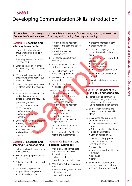# TSM61<br>
Records the module ayes and complete a minimum discussions, helding at learning it is considered the module of the student users of the student users of the student users of the student users are also the student u TISM61 Developing Communication Skills: Introduction

To complete this module you must complete a minimum of six sections, including at least one from each of the three areas of Speaking and Listening, Reading, and Writing.

### Section A: Speaking and listening: In my centre

- 1. Show or tell others in your group what you like to do in your centre.
- 2. Answer questions about what you have said.
- 3. Listen to others show or tell you what they like to do at your centre.
- 4. Working with a partner, show or tell your partner about your favourite activity.
- 5. Listen to your partner show or tell others about their favourite activity.
- 6. In the familiar situation of your centre, listen and respond to simple greetings and requests.
- 7. Show that you can communicate with a familiar person to share:
	- something you like
	- something you dislike
	- a feeling
- 8. Show how you would greet the following in your centre:
	- someone in charge
	- your best friend
	- a bus driver, taxi driver or escort

### Section B: Speaking and listening: Going shopping

- 1. Talk with others to plan a trip to the local shops.
- 2. With support, prepare a list of things to buy.
- 3. Tell others the things you need to buy.
- 4. Visit a local shop and, with support, show that you can:
	- look for an item to buy
- greet the shop assistant
- listen to the cost and pay for the item
- thank the assistant appropriately
- 5. Tell someone about your shopping trip.
- 6. Listen to details of a friend's visit to the local shops.
- 7. Talk with others to plan a trip to a supermarket.
- 8. With support, prepare a list of things to buy.
- 9. Tell others the things you need to buy
- 10. Visit a supermarket and show that you can:
	- find the items that you need to buy
	- wait at the checkout
	- greet the shop assistant appropriately
	- listen to the cost of your shopping
	- pay for your items
	- thank the shop assistant appropriately
- 11.Tell someone about your trip to the supermarket.
- 12.Listen to details of a friend's visit to the supermarket.

### Section C: Speaking and listening: Eating out

- 1. Visit a local self-service café and follow simple verbal instructions to:
	- choose an item
	- pay for the item, with support
- 2. Visit a café, pub or restaurant and:
	- choose what you would like to eat or drink
	- wait to be served
- greet the member of staff • order your items
- 3. With some support, visit a range of places to eat and drink.
	- When buying items, show that you can:
	- wait to be served
	- place your order • thank the staff appropriately
- 4. Show or tell someone about your visit.
- 5. Listen to details of a partner's visit.

### Section D: Speaking and **listening: Using technology**

- 1. Identify how to communicate with others using equipment such as a mobile phone, laptop, tablet or digital camera. what you has a more than the sample of the sample of the same that they like to do at your same side.<br>
Sample the same of the same of the same of the same of the same of the same of the same of the same of the same of the
	- 2. Share what you would like to use to communicate with others.
	- 3. Use a piece of equipment to greet a familiar person.
		- Greet them in an appropriate way.
		- Ask a question or give them a piece of information.
		- Sign off appropriately.
	- 4. Use a piece of equipment to send information to an unfamiliar person.

For example:

- make an appointment to have a haircut
- book a taxi
- other
- 5. Show or tell a partner about who you have communicated with and what you discussed.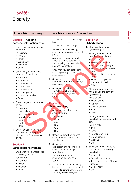### TISM69 E-safety

### To complete this module you must complete a minimum of five sections.

### Section A: Keeping personal information safe

1. Show who you communicate with online.

For example:

- Friends
- Family
- Centre staff
- Neighbours
- Other
- 2. Show that you know what personal information is.
	- For example:
	- Your name
	- Your date of birth • Your address
	-
	- Your passwords
	- Photographs of you
	- Your phone number
	- Other
- 3. Show how you communicate online.

For example:

- Social networking
- Instant messaging
- Online forums
- Gaming
- Email
- Other
- 4. Show that you know why it is important to keep personal information safe when you are online.

### Section B: Safer social networking

- 1. Share with others what social networking sites you use. For example:
	- Facebook
	- Twitter
	- Instagram
	- Other

2. Show which one you like using best.

Show why you like using it.

3. With support, if necessary, create your own online personal profile.

Ask an appropriate person to check it to make sure that you are not giving out too much personal information.

- 4. Show that you can safely send a message using a social networking site.
- 5. Show that you can safely post a photo or video clip on a social networking site.
- 6. Show you know how to get help if you have a bad experience when you are online. Sample:<br>
Sample:<br>
Sample:<br>
The sample:<br>
The sample:<br>
The sample:<br>
The sample:<br>
The sample:<br>
The sample:<br>
The sample:<br>
The sample:<br>
The sample:<br>
The sample:<br>
The sample:<br>
The sample:<br>
The sample:<br>
The sample:<br>
The sample:<br>

### Section C: Safer searching

Show you know how to access a search engine.

- For example:
- Google
- Ask
- Bing
- Yahoo
- Other
- 2. Show you know how to check whether a safe search filter is switched on.
- 3. Show that you can use a safe search engine to find out information about a topic of your choice.

Print out some of the information that you have found.

TISM69<br>
Complete the module you must complete a minimum of the eactors,<br>
complete the module you must complete a minimum of the eactors,<br>
personal information safe<br>
personal information safe<br>
complete a complete a minimum 4. Show that you know how to get help if you come across harmful or upsetting material when you are using a search engine.

### Section D: **Cyberbullying**

- 1. Show you know what cyberbullying is.
- 2. Show you know how a cyberbully might behave.

### For example:

- Making fun of somebody
- Writing mean messages
- Writing things that are not true
- Sharing unkind photos or videos
- Sharing other people's personal information • Other

3. Show you know what devices might be used to carry out cyberbullying.

For example:

- Mobile phone
- Laptop
- Gaming console
- Tablet
- Other
- 4. Show you know how cyberbullying can be carried out.

For example:

- Text
- Email
- Social networking
- Online gaming
- Webcams
- Other
- 5. Show you know what to do if you think you are being cyberbullied.

For example:

- Save all conversations
- Take a screenshot of text or images
- Do not reply
- Other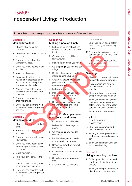# Towards in the main of the module Reference Book – Not for student use.  $\frac{1}{2}$  and  $\frac{1}{2}$  and  $\frac{1}{2}$  and  $\frac{1}{2}$  and  $\frac{1}{2}$  and  $\frac{1}{2}$  and  $\frac{1}{2}$  and  $\frac{1}{2}$  and  $\frac{1}{2}$  and  $\frac{1}{2}$  and  $\frac{1}{2}$ TISM09 Independent Living: Introduction

To complete this module you must complete a minimum of five sections.

### Section A: Making breakfast

- 1. Choose what to eat for breakfast.
- 2. Check you have the ingredients you need.
- 3. Show you can collect the utensils you need.
- 4. Show you know how to wash your hands.
- 5. Make your breakfast.
- 6. Cook your food if you are having a hot breakfast. Show you know about safety when using gas or electricity.
- 7. After you have eaten, clear away your plate, knives, cup, bowl, etc.
- 8. Show you can wash up your breakfast things.
- 9. Show you can clear the work surface and leave things clean and tidy.

### Section B: Making a **hot drink**

- 1. Choose what you would like to drink.
- 2. Show you can collect the things you need.
- 3. Show you know how to wash your hands.
- 4. Show you know about safety when using the kettle, pan or microwave.
- 5. Make your drink.
- 6. Take your drink safely to the table.
- 7. After you have finished, wash up your spoon, mug, etc.
- 8. Show you can clear the work surface and leave things clean and tidy.

### Section C: Making a packed lunch

- 1. Make a list or collect pictures of foods suitable for a packed lunch.
- 2. Choose what you will have for your lunch.
- 3. Make a list of things you need.
- 4. Go shopping if you need to buy things.
- 5. Decide when you will need to start preparing your lunch.
- 6. Show you know how to wash your hands and collect the utensils you will use. event and collect the times.<br>
Sample of the collect the state of things you need the state of things work of the collect that the work of things work of things work of things work of things of the collect the state of thin
	- 7. Make your lunch.
	- 8. Pack your lunch in a suitable container or use suitable wrapping to keep it fresh.
	- 9. Show you can wash up, clear the work surface and leave things clean and tidy.

### Section D: Making a main meal (lunch or dinner)

- 1. Choose what you will make.
- 2. Make a list of the things you need.
- 3. Go shopping if you need to buy things.
- 4. Decide when you will need to start preparing your meal.
- 5. Show you know how to wash your hands.
- 6. Choose and collect the utensils you will use.
- 7. Show how you prepare your meal.
- 8. Show you can lay the table.

9. Cook the meal.

Show you know about safety when cooking with electricity or gas.

10.After you have eaten, show you can clear away and wash the dishes.

Check that the work surfaces are clean and tidy.

### Section E: **Cleaning**

- Make a list or collect pictures of household cleaning products.
- 2. Decide where and how you would use each product on your list.
- 3. Show you know how to dust and polish furniture with care.
- 4. Show you can use a vacuum cleaner or carpet sweeper safely. Show you know about safety when using electricity.
- 5. Show how you would clean the:
	- Toilet
	- Bath or shower
	- Wash basin
- 6. Show you can sweep and wash the kitchen floor.
- 7. Show you can wipe down the kitchen surfaces and empty the bin.
- 8. Show you can make your bed with clean bedding.

### Section F:

### Using a washing machine

- 1. Collect your dirty clothes and sort them into light and dark colours.
- 2. Show you can put one bundle of clothes into the machine.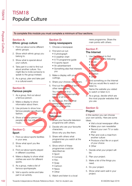### TISM18 Popular Culture

To complete this module you must complete a minimum of four sections.

### Section A: Ethnic group culture

- 1. Find out about some different ethnic groups.
- 2. Show which ethnic group you belong to.
- 3. Show what is special about your culture.
- 4. Take part in a visit to find out about another culture. You might like to invite someone to speak to the group instead.
- 5. As a group, plan and take part in a cultural event.

### Section B:

### Famous people

- 1. As a group, find out about a famous person.
- 2. Make a display to show information about them.
- 3. Use pictures to show how famous people can influence fashion.
- 4. Show a famous person (or people) who has influenced music.

### Section C: **Sport**

- 1. Find out about sports facilities in your area.
- 2. Show what sport you like to do.
- 3. Find out about sports played in different countries.
- 4. Make a display to show what clothes are worn for different sports.
- 5. As a group, make a list of famous sportspeople.
- 6. Visit a sports centre and take part in an activity.

### Section D: Using newspapers

- 1. Choose a newspaper.
- 2. Find and cut out:
	- A photograph
	- A weather chart
	- A TV programme guide
	- A sports report
	- An advertisement
	- Something else that interests you
- 3. Make a display with your cuttings.
- 4. Share your choices with others.
- 5. Find out the names of some other newspapers. You might look in a newsagent's, supermarket, library or at home. which ethnic group you<br>
you and the special about<br>
sample the same of the same of the same of the same of the same of the same of the same of the same of the same of the same of the same of the same of the same of the same
	- 6. As a group, find out what newspapers people read in your centre.

### Section E: **Television**

- **1.** Share your favourite television programme with others.
- 2. Decide who are your favourite characters.

Show why you like them.

- 3. Share with others what programmes you watch at the weekend.
- 4. Show which of these programmes could be described as:
	- Sport
	- Comedy
	- Film
	- Soap
	- Cartoon
	- News
	- Other
- 5. Watch and listen to a local

news programme. Share the main points with others.

### Section F: The Internet

- 1. Use the Internet to find information on the following:
	- Music
	- Sports
	- News
	- Weather
	- Fashion
	- Other
- 2. Find something on the Internet that you would like to watch or listen to.

Name the website you visited to watch or listen to it.

3. As a group, decide which are the most popular websites that you use.

### Section G: Project

In this section you can choose your own activity. Here are some ideas.

- Visit a local newspaper office
- Make your own newsletter
- Record your own TV or radio show
- Plan and cook a meal from another culture
- Produce a fact file on a sport of your choice
- Other
- 1. Decide what your project will be.
- 2. Plan your project.
- 3. Make a list of the things you need.
- 4. Do your project.
- 5. Show what went well in your project.

**TISM18**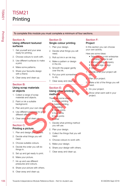### TISM21 Printing

To complete this module you must complete a minimum of four sections.

### Section A:

### Using different textured surfaces

- 1. Get yourself and your area ready for printing.
- 2. Choose colours to work with.
- 3. Use different surfaces to make a print.
- 4. Make some patterns.
- 5. Share your favourite design with a friend.
- 6. Clear away and clean up.

### TISM 21<br>
Princing momentum complete a momentum of four sections.<br>
The complete Module Reference Module September 2018<br>
Using different taxtured Single colour printing Project<br>
Module Reference Module September 2018<br>
2. Ch Section B: Using scrap materials or objects

- 1. Collect a range of scrap materials and objects.
- 2. Paint or ink a suitable background.
- 3. Plan and print your own design.
- 4. Use different pressures to give different effects.
- 5. Clear away and clean up.

### Section C:

### Printing a picture

- 1. Plan and design your picture.
- 2. Decide what things you will need.
- 3. Choose suitable colours.
- 4. Decide the order you will do things in.
- 5. Set up and get ready to print.
- 6. Make your picture.
- 7. Ink up and use different pressures and colours.
- 8. Share your picture with others.
- 9. Clear away and clean up.

### Section D: Single colour printing

- 1. Plan your design.
- 2. Decide what things you will need.
- 3. Roll out ink in an ink tray.
- 4. Make a pattern or design in the ink.
- 5. Smooth the paper gently over the ink.
- 6. Put your print somewhere to dry.
- 7. Clear away and clean up.

### Section E: Using other printing methods The color section of the the section of the the section of the time in the different strates to make a A. Make a pattern or design<br>
same patterns.<br>
Sample the make a pattern or design<br>
some patterns.<br>
Sample of the paper s

### These are some ideas:

- screen printing
- bubble printing
- marbling
- finger prints
- foot prints
- type prints
- other
- 1. Decide what printing method you will use.
- 2. Plan your design.
- 3. Collect the things that you will need.
- 4. Choose colours to work with.
- 5. Make your design.
- 6. Share your design with others.
- 7. Clear away and clean up.

### Section F: Project

In this section you can choose your own activity.

Here are some ideas:

- Take part in a mini enterprise – printing things to sell
- Visit a printing company
- Create a logo or sign
- Other

1. Decide what your project will be.

- Plan your project.
- 3. Make a list of the things you will need.
- 4. Do your project.
	- 5. Show what went well in your project.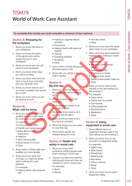# TOWARD Work: Care Assistant  $\frac{3}{2}$ <br>  $\frac{3}{2}$ <br>  $\frac{3}{2}$ <br>  $\frac{3}{2}$ <br>  $\frac{3}{2}$ <br>  $\frac{3}{2}$ <br>  $\frac{3}{2}$ <br>  $\frac{3}{2}$ <br>  $\frac{3}{2}$ <br>  $\frac{3}{2}$ <br>  $\frac{3}{2}$ <br>  $\frac{3}{2}$ <br>  $\frac{3}{2}$ <br>  $\frac{3}{2}$ <br>  $\frac{3}{2}$ <br>  $\frac{3}{2}$ <br>  $\frac{3}{2}$ <br>  $\frac{3}{$ TISM79 World of Work: Care Assistant

To complete this module you must complete a minimum of four sections.

### Section A: Preparing for the workplace

- 1. Show you know the name of your workplace.
- 2. Show you know the name of the person who will be supporting you in your workplace.
- 3. Show you know how you will travel to your workplace.
- 4. Show you know which days you will be working.
- 5. Show you know what time you have to be at work and what time you will finish work.
- 6. Show you know what to do if you have a problem and cannot go to work.
- 7. Show you know what you will be wearing at work.

### Section B: What I will be doing

- 1. Show you know the skills and qualities that you might need for working as a care assistant. For example:
	- Communication skills
	- Friendly and caring approach
	- Being able to follow instructions
	- Patience
	- Team working skills
	- Good sense of humour
	- Other
- 2. Show which of these skills and qualities you have already.
- 3. Show you know what sort of things you might be doing when working as a care assistant.
	- For example:
	- Helping clients with personal care
- Helping to organise leisure activities
- Housework
- Helping clients with personal hygiene
- Laundry
- Changing bedding
- Shopping
- Other
- 4. Show which of these things you will need support with.
- 5. Show who you will go to for help if needed.

### Section C: My first day

- 1. Show you know the names of the people you will be working with. Not the main of the same states are the people in the same states of the same states of the same of the same of the same of the same of the same of the same of the same of the same of the same of the same of the same of th
	- 2. Show you know where the toilets are.
	- 3. Show you know where to go for break or lunch
		- Show you know what to do if you hear the fire alarm.
	- 5. Show you know what to do if you have an accident.
	- 6. Show the things you have done on your first day.
	- 7. Show which activity you enjoyed doing the most.

### Section D: Health and safety in social care

- 1. Show you know what protective clothing people wear when working in social care.
- 2. Choose two items of protective clothing and show why they are needed for work in social care. For example:
	- Apron
	- Gloves
- Non-slip shoes
- Other
- 3. Show you know what the safety signs mean at your workplace.
- 4. Show you know about personal hygiene when working in social care.

### For example:

- Wearing a clean, smart uniform
- Having clean hair
- Washing your hands
- Wearing clean shoes
- Wearing appropriate make-up **Other**

Show you know some of the hazards in the care setting you are working in.

- For example:
- Heavy items
- Clients that are unwell
- Trip hazards
- Lifting equipment
- Electrical items
- Medication
- Other

### Section E: Using equipment in social care

- 1. Show different items of equipment that are used in the care setting you are working in.
- 2. Show you know how to use two items of equipment safely. For example:
	- Safety hoist
	- Slide sheets
	- Wheelchairs
	- Walking aids
	- Bed levers
	- Lifting cushions
	- Slings
	- Other
- 3. Show you know how to store equipment safely.